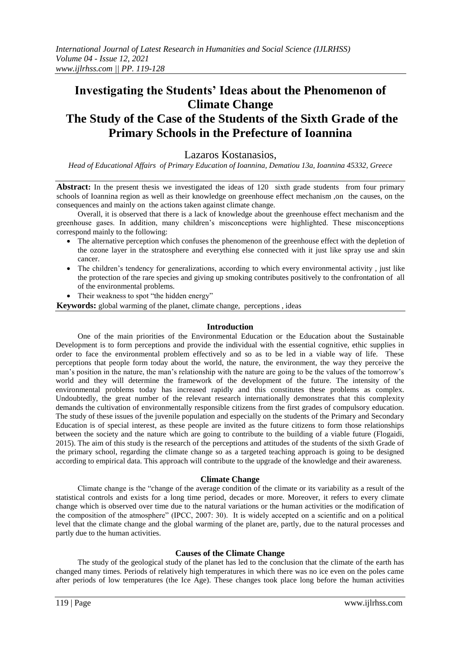## **Investigating the Students' Ideas about the Phenomenon of Climate Change The Study of the Case of the Students of the Sixth Grade of the**

# **Primary Schools in the Prefecture of Ioannina**

## Lazaros Kostanasios,

*Head of Educational Affairs of Primary Education of Ioannina, Dematiou 13a, Ioannina 45332, Greece*

**Abstract:** In the present thesis we investigated the ideas of 120 sixth grade students from four primary schools of Ioannina region as well as their knowledge on greenhouse effect mechanism ,on the causes, on the consequences and mainly on the actions taken against climate change.

Overall, it is observed that there is a lack of knowledge about the greenhouse effect mechanism and the greenhouse gases. In addition, many children's misconceptions were highlighted. These misconceptions correspond mainly to the following:

- The alternative perception which confuses the phenomenon of the greenhouse effect with the depletion of the ozone layer in the stratosphere and everything else connected with it just like spray use and skin cancer.
- The children's tendency for generalizations, according to which every environmental activity, just like the protection of the rare species and giving up smoking contributes positively to the confrontation of all of the environmental problems.
- Their weakness to spot "the hidden energy"

**Keywords:** global warming of the planet, climate change, perceptions , ideas

#### **Introduction**

One of the main priorities of the Environmental Education or the Education about the Sustainable Development is to form perceptions and provide the individual with the essential cognitive, ethic supplies in order to face the environmental problem effectively and so as to be led in a viable way of life. These perceptions that people form today about the world, the nature, the environment, the way they perceive the man's position in the nature, the man's relationship with the nature are going to be the values of the tomorrow's world and they will determine the framework of the development of the future. The intensity of the environmental problems today has increased rapidly and this constitutes these problems as complex. Undoubtedly, the great number of the relevant research internationally demonstrates that this complexity demands the cultivation of environmentally responsible citizens from the first grades of compulsory education. The study of these issues of the juvenile population and especially on the students of the Primary and Secondary Education is of special interest, as these people are invited as the future citizens to form those relationships between the society and the nature which are going to contribute to the building of a viable future (Flogaidi, 2015). The aim of this study is the research of the perceptions and attitudes of the students of the sixth Grade of the primary school, regarding the climate change so as a targeted teaching approach is going to be designed according to empirical data. This approach will contribute to the upgrade of the knowledge and their awareness.

#### **Climate Change**

Climate change is the "change of the average condition of the climate or its variability as a result of the statistical controls and exists for a long time period, decades or more. Moreover, it refers to every climate change which is observed over time due to the natural variations or the human activities or the modification of the composition of the atmosphere" (IPCC, 2007: 30). It is widely accepted on a scientific and on a political level that the climate change and the global warming of the planet are, partly, due to the natural processes and partly due to the human activities.

#### **Causes of the Climate Change**

The study of the geological study of the planet has led to the conclusion that the climate of the earth has changed many times. Periods of relatively high temperatures in which there was no ice even on the poles came after periods of low temperatures (the Ice Age). These changes took place long before the human activities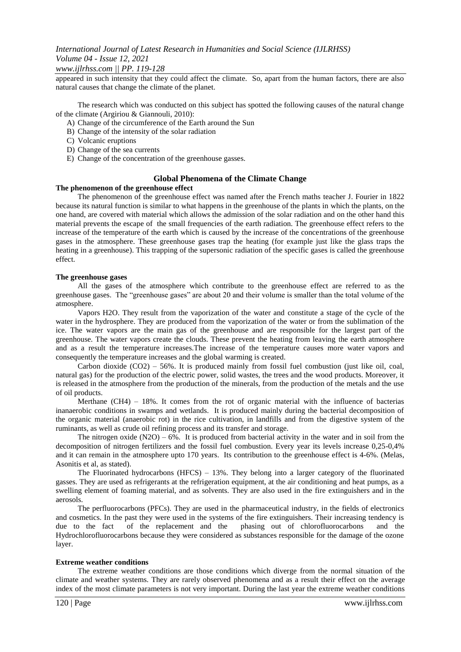#### *www.ijlrhss.com || PP. 119-128*

appeared in such intensity that they could affect the climate. So, apart from the human factors, there are also natural causes that change the climate of the planet.

The research which was conducted on this subject has spotted the following causes of the natural change of the climate (Argiriou & Giannouli, 2010):

- A) Change of the circumference of the Earth around the Sun
- B) Change of the intensity of the solar radiation
- C) Volcanic eruptions
- D) Change of the sea currents
- E) Change of the concentration of the greenhouse gasses.

#### **Global Phenomena of the Climate Change**

#### **The phenomenon of the greenhouse effect**

The phenomenon of the greenhouse effect was named after the French maths teacher J. Fourier in 1822 because its natural function is similar to what happens in the greenhouse of the plants in which the plants, on the one hand, are covered with material which allows the admission of the solar radiation and on the other hand this material prevents the escape of the small frequencies of the earth radiation. The greenhouse effect refers to the increase of the temperature of the earth which is caused by the increase of the concentrations of the greenhouse gases in the atmosphere. These greenhouse gases trap the heating (for example just like the glass traps the heating in a greenhouse). This trapping of the supersonic radiation of the specific gases is called the greenhouse effect.

#### **The greenhouse gases**

All the gases of the atmosphere which contribute to the greenhouse effect are referred to as the greenhouse gases. The "greenhouse gases" are about 20 and their volume is smaller than the total volume of the atmosphere.

Vapors H2O. They result from the vaporization of the water and constitute a stage of the cycle of the water in the hydrosphere. They are produced from the vaporization of the water or from the sublimation of the ice. The water vapors are the main gas of the greenhouse and are responsible for the largest part of the greenhouse. The water vapors create the clouds. These prevent the heating from leaving the earth atmosphere and as a result the temperature increases.The increase of the temperature causes more water vapors and consequently the temperature increases and the global warming is created.

Carbon dioxide (CO2) – 56%. It is produced mainly from fossil fuel combustion (just like oil, coal, natural gas) for the production of the electric power, solid wastes, the trees and the wood products. Moreover, it is released in the atmosphere from the production of the minerals, from the production of the metals and the use of oil products.

Merthane  $(CH4 - 18\%$ . It comes from the rot of organic material with the influence of bacterias inanaerobic conditions in swamps and wetlands. It is produced mainly during the bacterial decomposition of the organic material (anaerobic rot) in the rice cultivation, in landfills and from the digestive system of the ruminants, as well as crude oil refining process and its transfer and storage.

The nitrogen oxide  $(N2O) - 6\%$ . It is produced from bacterial activity in the water and in soil from the decomposition of nitrogen fertilizers and the fossil fuel combustion. Every year its levels increase 0,25-0,4% and it can remain in the atmosphere upto 170 years. Its contribution to the greenhouse effect is 4-6%. (Melas, Asonitis et al, as stated).

The Fluorinated hydrocarbons  $(HFCS) - 13%$ . They belong into a larger category of the fluorinated gasses. They are used as refrigerants at the refrigeration equipment, at the air conditioning and heat pumps, as a swelling element of foaming material, and as solvents. They are also used in the fire extinguishers and in the aerosols.

The perfluorocarbons (PFCs). They are used in the pharmaceutical industry, in the fields of electronics and cosmetics. In the past they were used in the systems of the fire extinguishers. Their increasing tendency is due to the fact of the replacement and the phasing out of chlorofluorocarbons and the Hydrochlorofluorocarbons because they were considered as substances responsible for the damage of the ozone layer.

#### **Extreme weather conditions**

The extreme weather conditions are those conditions which diverge from the normal situation of the climate and weather systems. They are rarely observed phenomena and as a result their effect on the average index of the most climate parameters is not very important. During the last year the extreme weather conditions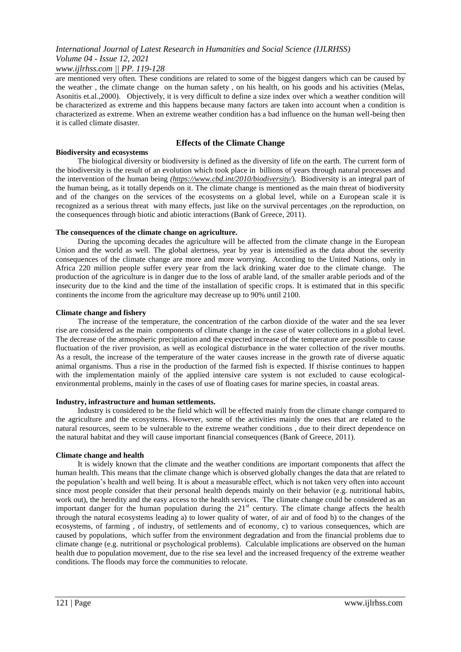*www.ijlrhss.com || PP. 119-128*

are mentioned very often. These conditions are related to some of the biggest dangers which can be caused by the weather , the climate change on the human safety , on his health, on his goods and his activities (Melas, Asonitis et.al.,2000). Objectively, it is very difficult to define a size index over which a weather condition will be characterized as extreme and this happens because many factors are taken into account when a condition is characterized as extreme. When an extreme weather condition has a bad influence on the human well-being then it is called climate disaster.

#### **Effects of the Climate Change**

#### **Biodiversity and ecosystems** The biological diversity or biodiversity is defined as the diversity of life on the earth. The current form of the biodiversity is the result of an evolution which took place in billions of years through natural processes and the intervention of the human being *[\(https://www.cbd.int/2010/biodiversity/](https://www.cbd.int/2010/biodiversity/)*). Biodiversity is an integral part of the human being, as it totally depends on it. The climate change is mentioned as the main threat of biodiversity and of the changes on the services of the ecosystems on a global level, while on a European scale it is recognized as a serious threat with many effects, just like on the survival percentages ,on the reproduction, on the consequences through biotic and abiotic interactions (Bank of Greece, 2011).

#### **The consequences of the climate change on agriculture.**

During the upcoming decades the agriculture will be affected from the climate change in the European Union and the world as well. The global alertness, year by year is intensified as the data about the severity consequences of the climate change are more and more worrying. According to the United Nations, only in Africa 220 million people suffer every year from the lack drinking water due to the climate change. The production of the agriculture is in danger due to the loss of arable land, of the smaller arable periods and of the insecurity due to the kind and the time of the installation of specific crops. It is estimated that in this specific continents the income from the agriculture may decrease up to 90% until 2100.

#### **Climate change and fishery**

The increase of the temperature, the concentration of the carbon dioxide of the water and the sea lever rise are considered as the main components of climate change in the case of water collections in a global level. The decrease of the atmospheric precipitation and the expected increase of the temperature are possible to cause fluctuation of the river provision, as well as ecological disturbance in the water collection of the river mouths. As a result, the increase of the temperature of the water causes increase in the growth rate of diverse aquatic animal organisms. Thus a rise in the production of the farmed fish is expected. If thisrise continues to happen with the implementation mainly of the applied intensive care system is not excluded to cause ecologicalenvironmental problems, mainly in the cases of use of floating cases for marine species, in coastal areas.

#### **Industry, infrastructure and human settlements.**

Industry is considered to be the field which will be effected mainly from the climate change compared to the agriculture and the ecosystems. However, some of the activities mainly the ones that are related to the natural resources, seem to be vulnerable to the extreme weather conditions , due to their direct dependence on the natural habitat and they will cause important financial consequences (Bank of Greece, 2011).

#### **Climate change and health**

It is widely known that the climate and the weather conditions are important components that affect the human health. This means that the climate change which is observed globally changes the data that are related to the population's health and well being. It is about a measurable effect, which is not taken very often into account since most people consider that their personal health depends mainly on their behavior (e.g. nutritional habits, work out), the heredity and the easy access to the health services. The climate change could be considered as an important danger for the human population during the 21<sup>st</sup> century. The climate change affects the health through the natural ecosystems leading a) to lower quality of water, of air and of food b) to the changes of the ecosystems, of farming , of industry, of settlements and of economy, c) to various consequences, which are caused by populations, which suffer from the environment degradation and from the financial problems due to climate change (e.g. nutritional or psychological problems). Calculable implications are observed on the human health due to population movement, due to the rise sea level and the increased frequency of the extreme weather conditions. The floods may force the communities to relocate.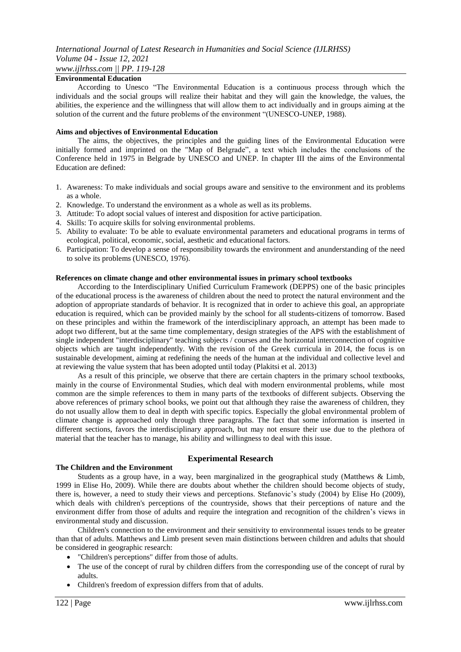## *www.ijlrhss.com || PP. 119-128*

#### **Environmental Education**

According to Unesco "The Environmental Education is a continuous process through which the individuals and the social groups will realize their habitat and they will gain the knowledge, the values, the abilities, the experience and the willingness that will allow them to act individually and in groups aiming at the solution of the current and the future problems of the environment "(UNESCO-UNEP, 1988).

#### **Aims and objectives of Environmental Education**

The aims, the objectives, the principles and the guiding lines of the Environmental Education were initially formed and imprinted on the "Map of Belgrade", a text which includes the conclusions of the Conference held in 1975 in Belgrade by UNESCO and UNEP. In chapter III the aims of the Environmental Education are defined:

- 1. Awareness: To make individuals and social groups aware and sensitive to the environment and its problems as a whole.
- 2. Knowledge. To understand the environment as a whole as well as its problems.
- 3. Attitude: To adopt social values of interest and disposition for active participation.
- 4. Skills: To acquire skills for solving environmental problems.
- 5. Ability to evaluate: To be able to evaluate environmental parameters and educational programs in terms of ecological, political, economic, social, aesthetic and educational factors.
- 6. Participation: To develop a sense of responsibility towards the environment and anunderstanding of the need to solve its problems (UNESCO, 1976).

#### **References on climate change and other environmental issues in primary school textbooks**

According to the Interdisciplinary Unified Curriculum Framework (DEPPS) one of the basic principles of the educational process is the awareness of children about the need to protect the natural environment and the adoption of appropriate standards of behavior. It is recognized that in order to achieve this goal, an appropriate education is required, which can be provided mainly by the school for all students-citizens of tomorrow. Based on these principles and within the framework of the interdisciplinary approach, an attempt has been made to adopt two different, but at the same time complementary, design strategies of the APS with the establishment of single independent "interdisciplinary" teaching subjects / courses and the horizontal interconnection of cognitive objects which are taught independently. With the revision of the Greek curricula in 2014, the focus is on sustainable development, aiming at redefining the needs of the human at the individual and collective level and at reviewing the value system that has been adopted until today (Plakitsi et al. 2013)

As a result of this principle, we observe that there are certain chapters in the primary school textbooks, mainly in the course of Environmental Studies, which deal with modern environmental problems, while most common are the simple references to them in many parts of the textbooks of different subjects. Observing the above references of primary school books, we point out that although they raise the awareness of children, they do not usually allow them to deal in depth with specific topics. Especially the global environmental problem of climate change is approached only through three paragraphs. The fact that some information is inserted in different sections, favors the interdisciplinary approach, but may not ensure their use due to the plethora of material that the teacher has to manage, his ability and willingness to deal with this issue.

#### **Experimental Research**

#### **The Children and the Environment**

Students as a group have, in a way, been marginalized in the geographical study (Matthews & Limb, 1999 in Elise Ho, 2009). While there are doubts about whether the children should become objects of study, there is, however, a need to study their views and perceptions. Stefanovic's study (2004) by Elise Ho (2009), which deals with children's perceptions of the countryside, shows that their perceptions of nature and the environment differ from those of adults and require the integration and recognition of the children's views in environmental study and discussion.

Children's connection to the environment and their sensitivity to environmental issues tends to be greater than that of adults. Matthews and Limb present seven main distinctions between children and adults that should be considered in geographic research:

- "Children's perceptions" differ from those of adults.
- The use of the concept of rural by children differs from the corresponding use of the concept of rural by adults.
- Children's freedom of expression differs from that of adults.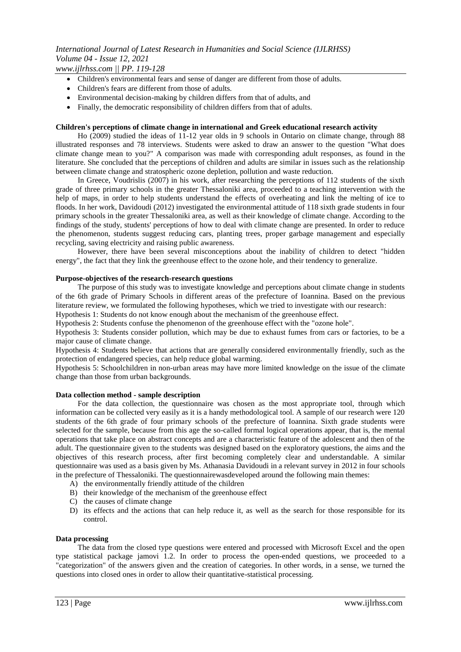*www.ijlrhss.com || PP. 119-128*

- Children's environmental fears and sense of danger are different from those of adults.
- Children's fears are different from those of adults.
- Environmental decision-making by children differs from that of adults, and
- Finally, the democratic responsibility of children differs from that of adults.

#### **Children's perceptions of climate change in international and Greek educational research activity**

Ho (2009) studied the ideas of 11-12 year olds in 9 schools in Ontario on climate change, through 88 illustrated responses and 78 interviews. Students were asked to draw an answer to the question "What does climate change mean to you?" A comparison was made with corresponding adult responses, as found in the literature. She concluded that the perceptions of children and adults are similar in issues such as the relationship between climate change and stratospheric ozone depletion, pollution and waste reduction.

In Greece, Voudrislis (2007) in his work, after researching the perceptions of 112 students of the sixth grade of three primary schools in the greater Thessaloniki area, proceeded to a teaching intervention with the help of maps, in order to help students understand the effects of overheating and link the melting of ice to floods. In her work, Davidoudi (2012) investigated the environmental attitude of 118 sixth grade students in four primary schools in the greater Thessaloniki area, as well as their knowledge of climate change. According to the findings of the study, students' perceptions of how to deal with climate change are presented. In order to reduce the phenomenon, students suggest reducing cars, planting trees, proper garbage management and especially recycling, saving electricity and raising public awareness.

However, there have been several misconceptions about the inability of children to detect "hidden energy", the fact that they link the greenhouse effect to the ozone hole, and their tendency to generalize.

#### **Purpose-objectives of the research-research questions**

The purpose of this study was to investigate knowledge and perceptions about climate change in students of the 6th grade of Primary Schools in different areas of the prefecture of Ioannina. Based on the previous literature review, we formulated the following hypotheses, which we tried to investigate with our research:

Hypothesis 1: Students do not know enough about the mechanism of the greenhouse effect.

Hypothesis 2: Students confuse the phenomenon of the greenhouse effect with the "ozone hole".

Hypothesis 3: Students consider pollution, which may be due to exhaust fumes from cars or factories, to be a major cause of climate change.

Hypothesis 4: Students believe that actions that are generally considered environmentally friendly, such as the protection of endangered species, can help reduce global warming.

Hypothesis 5: Schoolchildren in non-urban areas may have more limited knowledge on the issue of the climate change than those from urban backgrounds.

#### **Data collection method - sample description**

For the data collection, the questionnaire was chosen as the most appropriate tool, through which information can be collected very easily as it is a handy methodological tool. A sample of our research were 120 students of the 6th grade of four primary schools of the prefecture of Ioannina. Sixth grade students were selected for the sample, because from this age the so-called formal logical operations appear, that is, the mental operations that take place on abstract concepts and are a characteristic feature of the adolescent and then of the adult. The questionnaire given to the students was designed based on the exploratory questions, the aims and the objectives of this research process, after first becoming completely clear and understandable. A similar questionnaire was used as a basis given by Ms. Athanasia Davidoudi in a relevant survey in 2012 in four schools in the prefecture of Thessaloniki. The questionnairewasdeveloped around the following main themes:

- A) the environmentally friendly attitude of the children
- B) their knowledge of the mechanism of the greenhouse effect
- C) the causes of climate change
- D) its effects and the actions that can help reduce it, as well as the search for those responsible for its control.

#### **Data processing**

The data from the closed type questions were entered and processed with Microsoft Excel and the open type statistical package jamovi 1.2. In order to process the open-ended questions, we proceeded to a "categorization" of the answers given and the creation of categories. In other words, in a sense, we turned the questions into closed ones in order to allow their quantitative-statistical processing.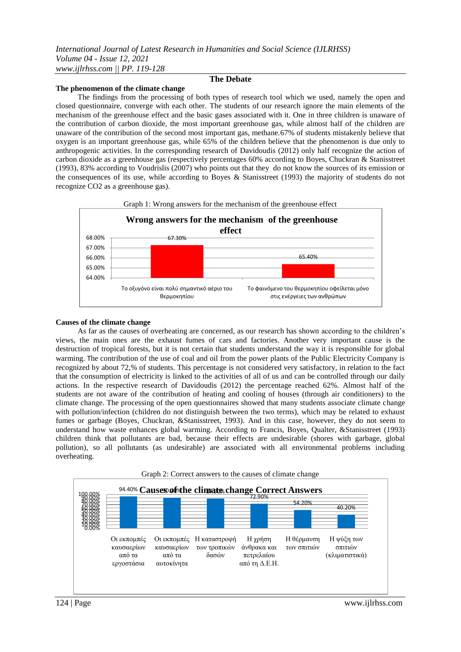#### **The phenomenon of the climate change**

The findings from the processing of both types of research tool which we used, namely the open and closed questionnaire, converge with each other. The students of our research ignore the main elements of the mechanism of the greenhouse effect and the basic gases associated with it. One in three children is unaware of the contribution of carbon dioxide, the most important greenhouse gas, while almost half of the children are unaware of the contribution of the second most important gas, methane.67% of students mistakenly believe that oxygen is an important greenhouse gas, while 65% of the children believe that the phenomenon is due only to anthropogenic activities. In the corresponding research of Davidoudis (2012) only half recognize the action of carbon dioxide as a greenhouse gas (respectively percentages 60% according to Boyes, Chuckran & Stanisstreet (1993), 83% according to Voudrislis (2007) who points out that they do not know the sources of its emission or the consequences of its use, while according to Boyes & Stanisstreet (1993) the majority of students do not recognize CO2 as a greenhouse gas).

**The Debate**



#### **Causes of the climate change**

As far as the causes of overheating are concerned, as our research has shown according to the children's views, the main ones are the exhaust fumes of cars and factories. Another very important cause is the destruction of tropical forests, but it is not certain that students understand the way it is responsible for global warming. The contribution of the use of coal and oil from the power plants of the Public Electricity Company is recognized by about 72,% of students. This percentage is not considered very satisfactory, in relation to the fact that the consumption of electricity is linked to the activities of all of us and can be controlled through our daily actions. In the respective research of Davidoudis (2012) the percentage reached 62%. Almost half of the students are not aware of the contribution of heating and cooling of houses (through air conditioners) to the climate change. The processing of the open questionnaires showed that many students associate climate change with pollution/infection (children do not distinguish between the two terms), which may be related to exhaust fumes or garbage (Boyes, Chuckran, &Stanisstreet, 1993). And in this case, however, they do not seem to understand how waste enhances global warming. According to Francis, Boyes, Qualter, &Stanisstreet (1993) children think that pollutants are bad, because their effects are undesirable (shores with garbage, global pollution), so all pollutants (as undesirable) are associated with all environmental problems including overheating.

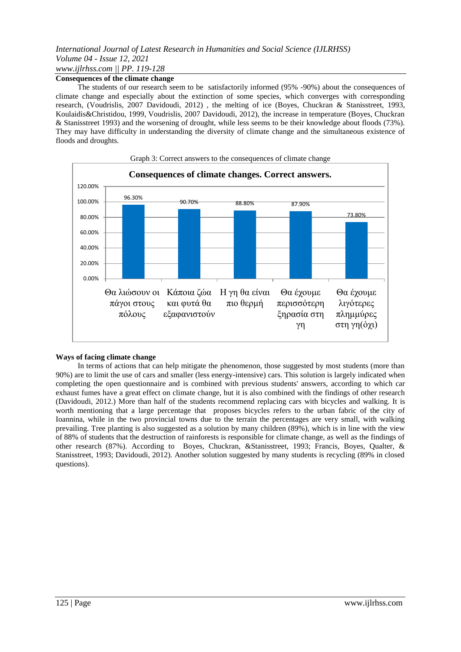## *International Journal of Latest Research in Humanities and Social Science (IJLRHSS) Volume 04 - Issue 12, 2021 www.ijlrhss.com || PP. 119-128*

## **Consequences of the climate change**

The students of our research seem to be satisfactorily informed (95% -90%) about the consequences of climate change and especially about the extinction of some species, which converges with corresponding research, (Voudrislis, 2007 Davidoudi, 2012) , the melting of ice (Boyes, Chuckran & Stanisstreet, 1993, Koulaidis&Christidou, 1999, Voudrislis, 2007 Davidoudi, 2012), the increase in temperature (Boyes, Chuckran & Stanisstreet 1993) and the worsening of drought, while less seems to be their knowledge about floods (73%). They may have difficulty in understanding the diversity of climate change and the simultaneous existence of floods and droughts.



#### **Ways of facing climate change**

In terms of actions that can help mitigate the phenomenon, those suggested by most students (more than 90%) are to limit the use of cars and smaller (less energy-intensive) cars. This solution is largely indicated when completing the open questionnaire and is combined with previous students' answers, according to which car exhaust fumes have a great effect on climate change, but it is also combined with the findings of other research (Davidoudi, 2012.) More than half of the students recommend replacing cars with bicycles and walking. It is worth mentioning that a large percentage that proposes bicycles refers to the urban fabric of the city of Ioannina, while in the two provincial towns due to the terrain the percentages are very small, with walking prevailing. Tree planting is also suggested as a solution by many children (89%), which is in line with the view of 88% of students that the destruction of rainforests is responsible for climate change, as well as the findings of other research (87%). According to Boyes, Chuckran, &Stanisstreet, 1993; Francis, Boyes, Qualter, & Stanisstreet, 1993; Davidoudi, 2012). Another solution suggested by many students is recycling (89% in closed questions).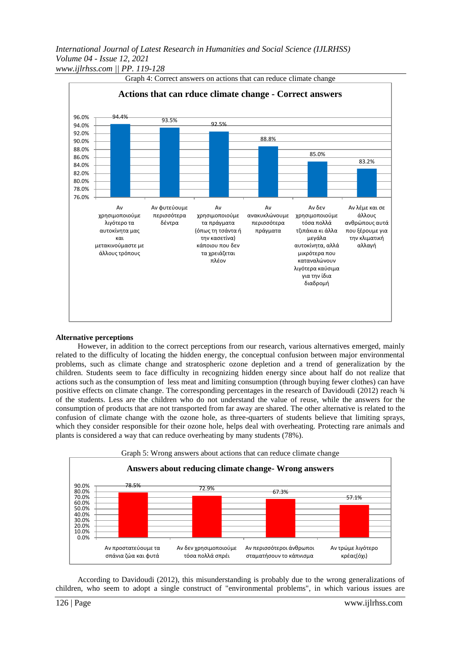*International Journal of Latest Research in Humanities and Social Science (IJLRHSS) Volume 04 - Issue 12, 2021 www.ijlrhss.com || PP. 119-128*



#### **Alternative perceptions**

However, in addition to the correct perceptions from our research, various alternatives emerged, mainly related to the difficulty of locating the hidden energy, the conceptual confusion between major environmental problems, such as climate change and stratospheric ozone depletion and a trend of generalization by the children. Students seem to face difficulty in recognizing hidden energy since about half do not realize that actions such as the consumption of less meat and limiting consumption (through buying fewer clothes) can have positive effects on climate change. The corresponding percentages in the research of Davidoudi (2012) reach ¾ of the students. Less are the children who do not understand the value of reuse, while the answers for the consumption of products that are not transported from far away are shared. The other alternative is related to the confusion of climate change with the ozone hole, as three-quarters of students believe that limiting sprays, which they consider responsible for their ozone hole, helps deal with overheating. Protecting rare animals and plants is considered a way that can reduce overheating by many students (78%).



According to Davidoudi (2012), this misunderstanding is probably due to the wrong generalizations of children, who seem to adopt a single construct of "environmental problems", in which various issues are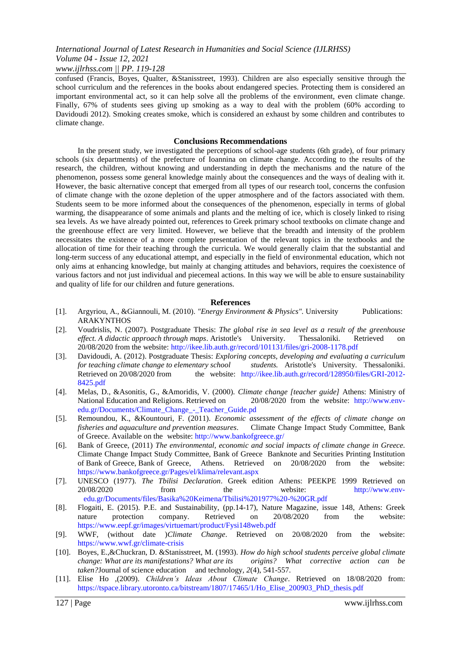#### *www.ijlrhss.com || PP. 119-128*

confused (Francis, Boyes, Qualter, &Stanisstreet, 1993). Children are also especially sensitive through the school curriculum and the references in the books about endangered species. Protecting them is considered an important environmental act, so it can help solve all the problems of the environment, even climate change. Finally, 67% of students sees giving up smoking as a way to deal with the problem (60% according to Davidoudi 2012). Smoking creates smoke, which is considered an exhaust by some children and contributes to climate change.

#### **Conclusions Recommendations**

In the present study, we investigated the perceptions of school-age students (6th grade), of four primary schools (six departments) of the prefecture of Ioannina on climate change. According to the results of the research, the children, without knowing and understanding in depth the mechanisms and the nature of the phenomenon, possess some general knowledge mainly about the consequences and the ways of dealing with it. However, the basic alternative concept that emerged from all types of our research tool, concerns the confusion of climate change with the ozone depletion of the upper atmosphere and of the factors associated with them. Students seem to be more informed about the consequences of the phenomenon, especially in terms of global warming, the disappearance of some animals and plants and the melting of ice, which is closely linked to rising sea levels. As we have already pointed out, references to Greek primary school textbooks on climate change and the greenhouse effect are very limited. However, we believe that the breadth and intensity of the problem necessitates the existence of a more complete presentation of the relevant topics in the textbooks and the allocation of time for their teaching through the curricula. We would generally claim that the substantial and long-term success of any educational attempt, and especially in the field of environmental education, which not only aims at enhancing knowledge, but mainly at changing attitudes and behaviors, requires the coexistence of various factors and not just individual and piecemeal actions. In this way we will be able to ensure sustainability and quality of life for our children and future generations.

#### **References**

- [1]. Argyriou, A., &Giannouli, M. (2010). *"Energy Environment & Physics".* University Publications: ARAKYNTHOS
- [2]. Voudrislis, N. (2007). Postgraduate Thesis: *The global rise in sea level as a result of the greenhouse effect. A didactic approach through maps*. Aristotle's University. Thessaloniki. Retrieved on 20/08/2020 from the website: <http://ikee.lib.auth.gr/record/101131/files/gri-2008-1178.pdf>
- [3]. Davidoudi, A. (2012). Postgraduate Thesis: *Exploring concepts, developing and evaluating a curriculum for teaching climate change to elementary school students.* Aristotle's University. Thessaloniki. Retrieved on 20/08/2020 from the website: [http://ikee.lib.auth.gr/record/128950/files/GRI-2012-](http://ikee.lib.auth.gr/record/128950/files/GRI-2012-8425.pdf) [8425.pdf](http://ikee.lib.auth.gr/record/128950/files/GRI-2012-8425.pdf)
- [4]. Melas, D., &Asonitis, G., &Amoridis, V. (2000). *Climate change [teacher guide]* Athens: Ministry of National Education and Religions. Retrieved on 20/08/2020 from the website: [http://www.env](http://www.env-edu.gr/Documents/Climate_Change_-_Teacher_Guide.pd)[edu.gr/Documents/Climate\\_Change\\_-\\_Teacher\\_Guide.pd](http://www.env-edu.gr/Documents/Climate_Change_-_Teacher_Guide.pd)
- [5]. Remoundou, K., &Kountouri, F. (2011). *Economic assessment of the effects of climate change on fisheries and aquaculture and prevention measures*. Climate Change Impact Study Committee, Bank of Greece. Available on the website:<http://www.bankofgreece.gr/>
- [6]. Bank of Greece, (2011) *The environmental, economic and social impacts of climate change in Greece.*  Climate Change Impact Study Committee, Bank of Greece Banknote and Securities Printing Institution of Bank of Greece, Bank of Greece, Athens. Retrieved on 20/08/2020 from the website: <https://www.bankofgreece.gr/Pages/el/klima/relevant.aspx>
- [7]. UNESCO (1977). *The Tbilisi Declaration*. Greek edition Athens: PEEKPE 1999 Retrieved on 20/08/2020 from the website: http://www.envedu.gr/Documents/files/Basika%20Keimena/Tbilisi%201977%20-%20GR.pdf
- [8]. Flogaiti, E. (2015). P.Ε. and Sustainability, (pp.14-17), Nature Magazine, issue 148, Athens: Greek nature protection company. Retrieved on 20/08/2020 from the website: <https://www.eepf.gr/images/virtuemart/product/Fysi148web.pdf>
- [9]. WWF, (without date )*Climate Change*. Retrieved on 20/08/2020 from the website: <https://www.wwf.gr/climate-crisis>
- [10]. Boyes, E.,&Chuckran, D. &Stanisstreet, M. (1993). *How do high school students perceive global climate change: What are its manifestations? What are its origins? What corrective action can be taken?*Journal of science education and technology*, 2*(4), 541-557.
- [11]. Elise Ho ,(2009). *Children's Ideas About Climate Change*. Retrieved on 18/08/2020 from: [https://tspace.library.utoronto.ca/bitstream/1807/17465/1/Ho\\_Elise\\_200903\\_PhD\\_thesis.pdf](https://tspace.library.utoronto.ca/bitstream/1807/17465/1/Ho_Elise_200903_P%09hD_thesis.pdf)